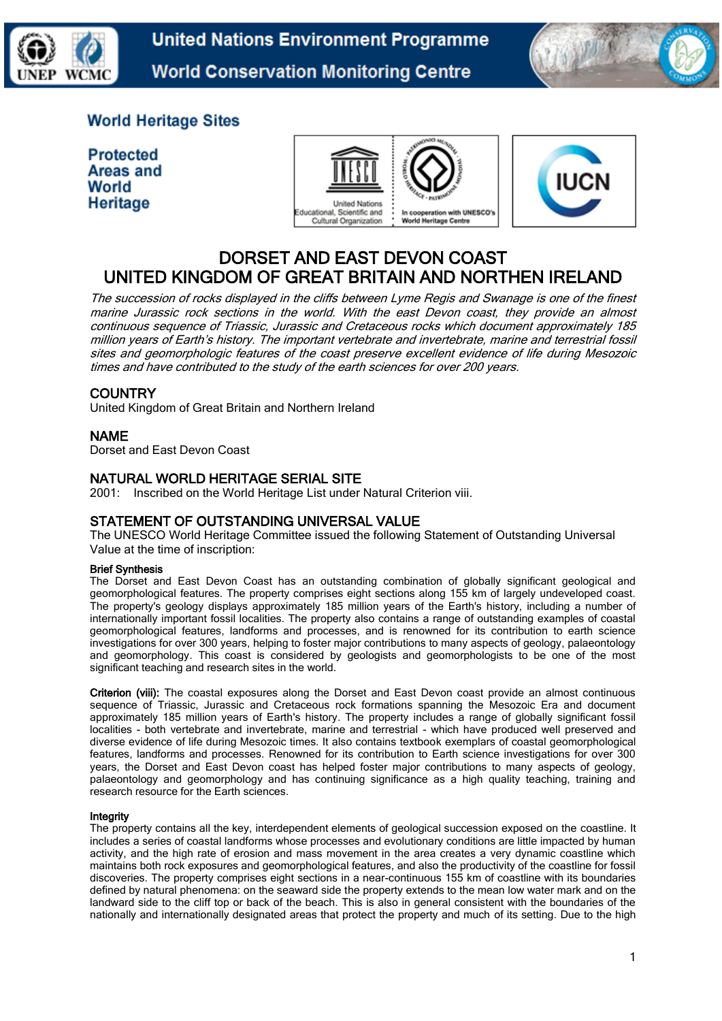



# **World Heritage Sites**

**Protected Areas and** World Heritage





# DORSET AND EAST DEVON COAST UNITED KINGDOM OF GREAT BRITAIN AND NORTHEN IRELAND

The succession of rocks displayed in the cliffs between Lyme Regis and Swanage is one of the finest marine Jurassic rock sections in the world. With the east Devon coast, they provide an almost continuous sequence of Triassic, Jurassic and Cretaceous rocks which document approximately 185 million years of Earth's history. The important vertebrate and invertebrate, marine and terrestrial fossil sites and geomorphologic features of the coast preserve excellent evidence of life during Mesozoic times and have contributed to the study of the earth sciences for over 200 years.

# **COUNTRY**

United Kingdom of Great Britain and Northern Ireland

# NAME

Dorset and East Devon Coast

# NATURAL WORLD HERITAGE SERIAL SITE

2001: Inscribed on the World Heritage List under Natural Criterion viii.

# STATEMENT OF OUTSTANDING UNIVERSAL VALUE

The UNESCO World Heritage Committee issued the following Statement of Outstanding Universal Value at the time of inscription:

#### Brief Synthesis

The Dorset and East Devon Coast has an outstanding combination of globally significant geological and geomorphological features. The property comprises eight sections along 155 km of largely undeveloped coast. The property's geology displays approximately 185 million years of the Earth's history, including a number of internationally important fossil localities. The property also contains a range of outstanding examples of coastal geomorphological features, landforms and processes, and is renowned for its contribution to earth science investigations for over 300 years, helping to foster major contributions to many aspects of geology, palaeontology and geomorphology. This coast is considered by geologists and geomorphologists to be one of the most significant teaching and research sites in the world.

Criterion (viii): The coastal exposures along the Dorset and East Devon coast provide an almost continuous sequence of Triassic, Jurassic and Cretaceous rock formations spanning the Mesozoic Era and document approximately 185 million years of Earth's history. The property includes a range of globally significant fossil localities - both vertebrate and invertebrate, marine and terrestrial - which have produced well preserved and diverse evidence of life during Mesozoic times. It also contains textbook exemplars of coastal geomorphological features, landforms and processes. Renowned for its contribution to Earth science investigations for over 300 years, the Dorset and East Devon coast has helped foster major contributions to many aspects of geology, palaeontology and geomorphology and has continuing significance as a high quality teaching, training and research resource for the Earth sciences.

#### Integrity

The property contains all the key, interdependent elements of geological succession exposed on the coastline. It includes a series of coastal landforms whose processes and evolutionary conditions are little impacted by human activity, and the high rate of erosion and mass movement in the area creates a very dynamic coastline which maintains both rock exposures and geomorphological features, and also the productivity of the coastline for fossil discoveries. The property comprises eight sections in a near-continuous 155 km of coastline with its boundaries defined by natural phenomena: on the seaward side the property extends to the mean low water mark and on the landward side to the cliff top or back of the beach. This is also in general consistent with the boundaries of the nationally and internationally designated areas that protect the property and much of its setting. Due to the high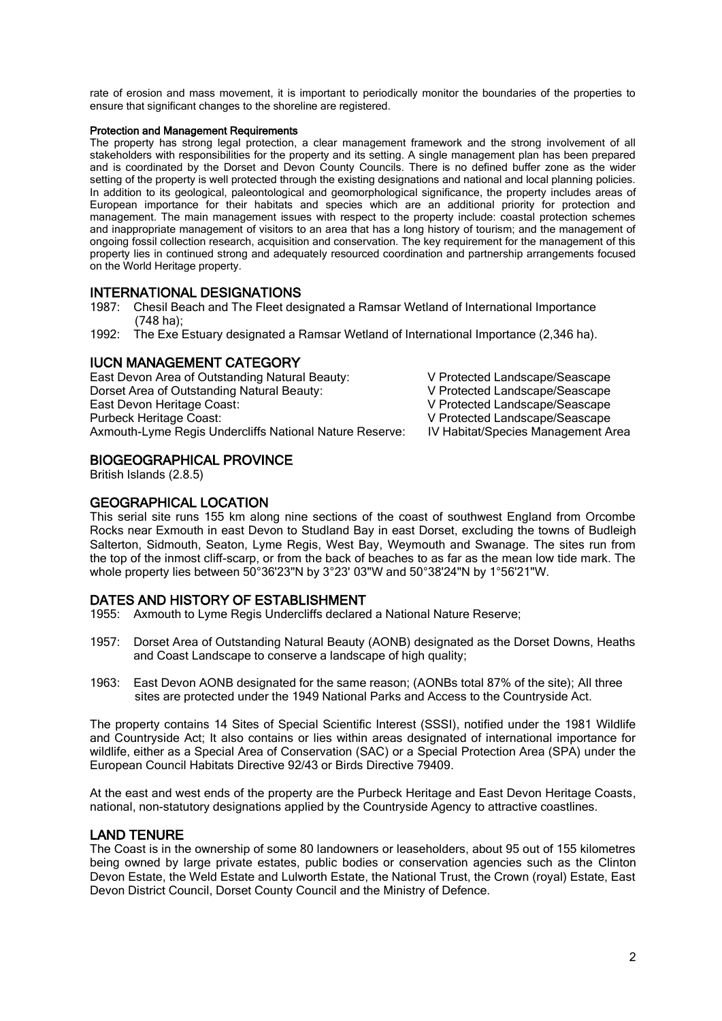rate of erosion and mass movement, it is important to periodically monitor the boundaries of the properties to ensure that significant changes to the shoreline are registered.

#### Protection and Management Requirements

The property has strong legal protection, a clear management framework and the strong involvement of all stakeholders with responsibilities for the property and its setting. A single management plan has been prepared and is coordinated by the Dorset and Devon County Councils. There is no defined buffer zone as the wider setting of the property is well protected through the existing designations and national and local planning policies. In addition to its geological, paleontological and geomorphological significance, the property includes areas of European importance for their habitats and species which are an additional priority for protection and management. The main management issues with respect to the property include: coastal protection schemes and inappropriate management of visitors to an area that has a long history of tourism; and the management of ongoing fossil collection research, acquisition and conservation. The key requirement for the management of this property lies in continued strong and adequately resourced coordination and partnership arrangements focused on the World Heritage property.

# INTERNATIONAL DESIGNATIONS

- 1987: Chesil Beach and The Fleet designated a Ramsar Wetland of International Importance (748 ha);
- 1992: The Exe Estuary designated a Ramsar Wetland of International Importance (2,346 ha).

#### IUCN MANAGEMENT CATEGORY

East Devon Area of Outstanding Natural Beauty: V Protected Landscape/Seascape Dorset Area of Outstanding Natural Beauty: V Protected Landscape/Seascape East Devon Heritage Coast: V Protected Landscape/Seascape Purbeck Heritage Coast: V Protected Landscape/Seascape Axmouth-Lyme Regis Undercliffs National Nature Reserve: IV Habitat/Species Management Area

- 
- 

# BIOGEOGRAPHICAL PROVINCE

British Islands (2.8.5)

# GEOGRAPHICAL LOCATION

This serial site runs 155 km along nine sections of the coast of southwest England from Orcombe Rocks near Exmouth in east Devon to Studland Bay in east Dorset, excluding the towns of Budleigh Salterton, Sidmouth, Seaton, Lyme Regis, West Bay, Weymouth and Swanage. The sites run from the top of the inmost cliff-scarp, or from the back of beaches to as far as the mean low tide mark. The whole property lies between 50°36'23"N by 3°23' 03"W and 50°38'24"N by 1°56'21"W.

# DATES AND HISTORY OF ESTABLISHMENT

1955: Axmouth to Lyme Regis Undercliffs declared a National Nature Reserve;

- 1957: Dorset Area of Outstanding Natural Beauty (AONB) designated as the Dorset Downs, Heaths and Coast Landscape to conserve a landscape of high quality;
- 1963: East Devon AONB designated for the same reason; (AONBs total 87% of the site); All three sites are protected under the 1949 National Parks and Access to the Countryside Act.

The property contains 14 Sites of Special Scientific Interest (SSSI), notified under the 1981 Wildlife and Countryside Act; It also contains or lies within areas designated of international importance for wildlife, either as a Special Area of Conservation (SAC) or a Special Protection Area (SPA) under the European Council Habitats Directive 92/43 or Birds Directive 79409.

At the east and west ends of the property are the Purbeck Heritage and East Devon Heritage Coasts, national, non-statutory designations applied by the Countryside Agency to attractive coastlines.

#### LAND TENURE

The Coast is in the ownership of some 80 landowners or leaseholders, about 95 out of 155 kilometres being owned by large private estates, public bodies or conservation agencies such as the Clinton Devon Estate, the Weld Estate and Lulworth Estate, the National Trust, the Crown (royal) Estate, East Devon District Council, Dorset County Council and the Ministry of Defence.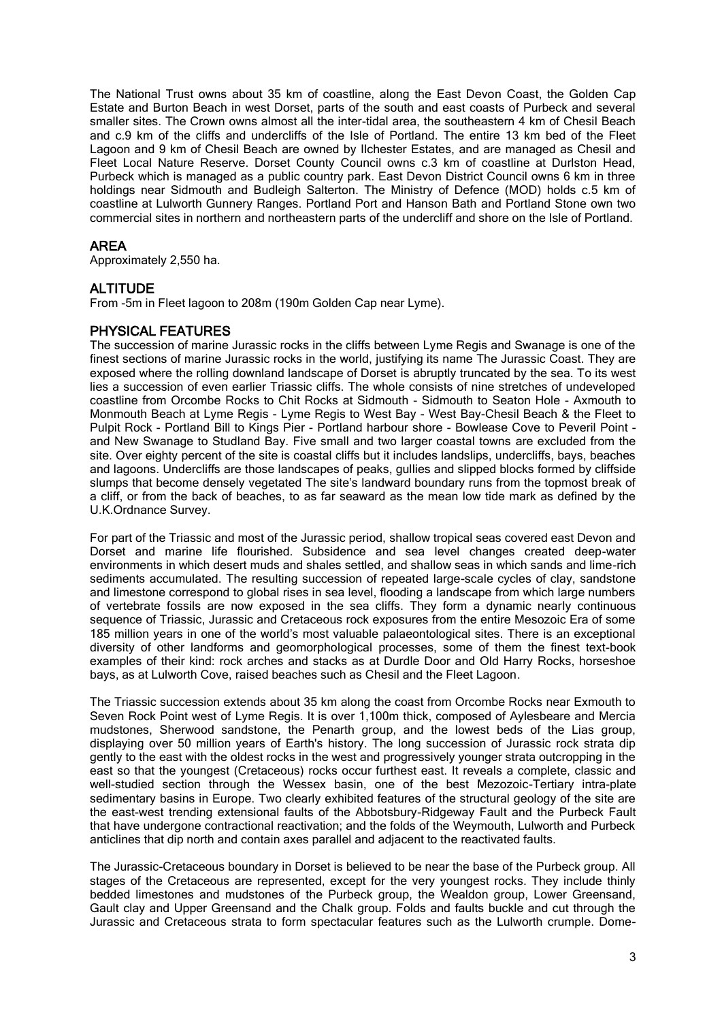The National Trust owns about 35 km of coastline, along the East Devon Coast, the Golden Cap Estate and Burton Beach in west Dorset, parts of the south and east coasts of Purbeck and several smaller sites. The Crown owns almost all the inter-tidal area, the southeastern 4 km of Chesil Beach and c.9 km of the cliffs and undercliffs of the Isle of Portland. The entire 13 km bed of the Fleet Lagoon and 9 km of Chesil Beach are owned by Ilchester Estates, and are managed as Chesil and Fleet Local Nature Reserve. Dorset County Council owns c.3 km of coastline at Durlston Head, Purbeck which is managed as a public country park. East Devon District Council owns 6 km in three holdings near Sidmouth and Budleigh Salterton. The Ministry of Defence (MOD) holds c.5 km of coastline at Lulworth Gunnery Ranges. Portland Port and Hanson Bath and Portland Stone own two commercial sites in northern and northeastern parts of the undercliff and shore on the Isle of Portland.

# AREA

Approximately 2,550 ha.

# **ALTITUDE**

From -5m in Fleet lagoon to 208m (190m Golden Cap near Lyme).

# PHYSICAL FEATURES

The succession of marine Jurassic rocks in the cliffs between Lyme Regis and Swanage is one of the finest sections of marine Jurassic rocks in the world, justifying its name The Jurassic Coast. They are exposed where the rolling downland landscape of Dorset is abruptly truncated by the sea. To its west lies a succession of even earlier Triassic cliffs. The whole consists of nine stretches of undeveloped coastline from Orcombe Rocks to Chit Rocks at Sidmouth - Sidmouth to Seaton Hole - Axmouth to Monmouth Beach at Lyme Regis - Lyme Regis to West Bay - West Bay-Chesil Beach & the Fleet to Pulpit Rock - Portland Bill to Kings Pier - Portland harbour shore - Bowlease Cove to Peveril Point and New Swanage to Studland Bay. Five small and two larger coastal towns are excluded from the site. Over eighty percent of the site is coastal cliffs but it includes landslips, undercliffs, bays, beaches and lagoons. Undercliffs are those landscapes of peaks, gullies and slipped blocks formed by cliffside slumps that become densely vegetated The site's landward boundary runs from the topmost break of a cliff, or from the back of beaches, to as far seaward as the mean low tide mark as defined by the U.K.Ordnance Survey.

For part of the Triassic and most of the Jurassic period, shallow tropical seas covered east Devon and Dorset and marine life flourished. Subsidence and sea level changes created deep-water environments in which desert muds and shales settled, and shallow seas in which sands and lime-rich sediments accumulated. The resulting succession of repeated large-scale cycles of clay, sandstone and limestone correspond to global rises in sea level, flooding a landscape from which large numbers of vertebrate fossils are now exposed in the sea cliffs. They form a dynamic nearly continuous sequence of Triassic, Jurassic and Cretaceous rock exposures from the entire Mesozoic Era of some 185 million years in one of the world's most valuable palaeontological sites. There is an exceptional diversity of other landforms and geomorphological processes, some of them the finest text-book examples of their kind: rock arches and stacks as at Durdle Door and Old Harry Rocks, horseshoe bays, as at Lulworth Cove, raised beaches such as Chesil and the Fleet Lagoon.

The Triassic succession extends about 35 km along the coast from Orcombe Rocks near Exmouth to Seven Rock Point west of Lyme Regis. It is over 1,100m thick, composed of Aylesbeare and Mercia mudstones, Sherwood sandstone, the Penarth group, and the lowest beds of the Lias group, displaying over 50 million years of Earth's history. The long succession of Jurassic rock strata dip gently to the east with the oldest rocks in the west and progressively younger strata outcropping in the east so that the youngest (Cretaceous) rocks occur furthest east. It reveals a complete, classic and well-studied section through the Wessex basin, one of the best Mezozoic-Tertiary intra-plate sedimentary basins in Europe. Two clearly exhibited features of the structural geology of the site are the east-west trending extensional faults of the Abbotsbury-Ridgeway Fault and the Purbeck Fault that have undergone contractional reactivation; and the folds of the Weymouth, Lulworth and Purbeck anticlines that dip north and contain axes parallel and adjacent to the reactivated faults.

The Jurassic-Cretaceous boundary in Dorset is believed to be near the base of the Purbeck group. All stages of the Cretaceous are represented, except for the very youngest rocks. They include thinly bedded limestones and mudstones of the Purbeck group, the Wealdon group, Lower Greensand, Gault clay and Upper Greensand and the Chalk group. Folds and faults buckle and cut through the Jurassic and Cretaceous strata to form spectacular features such as the Lulworth crumple. Dome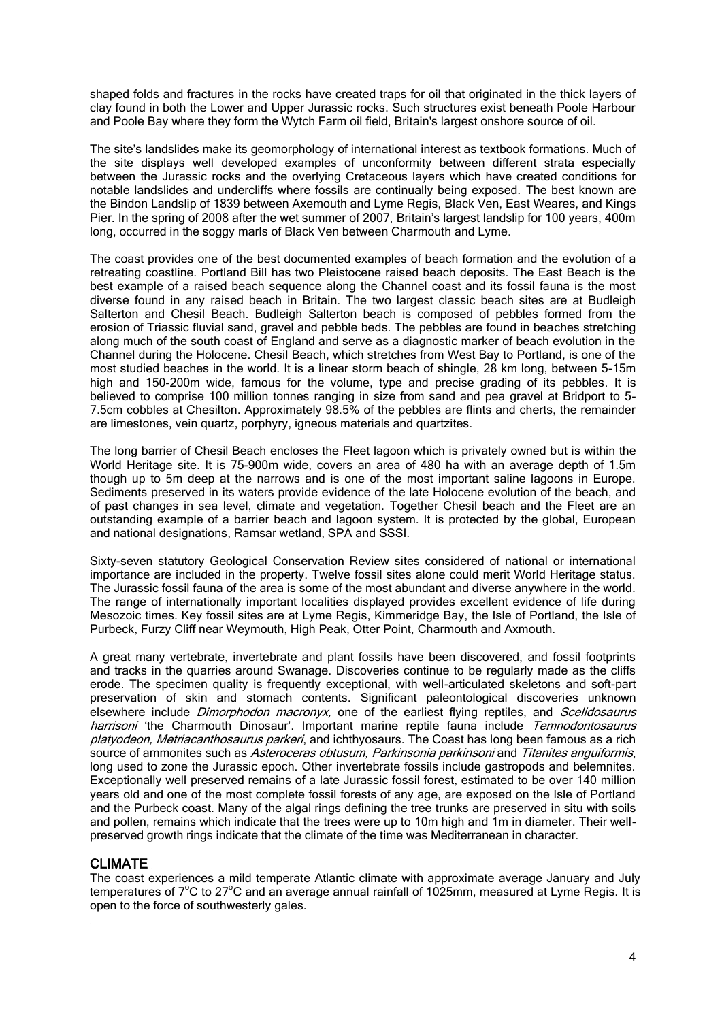shaped folds and fractures in the rocks have created traps for oil that originated in the thick layers of clay found in both the Lower and Upper Jurassic rocks. Such structures exist beneath Poole Harbour and Poole Bay where they form the Wytch Farm oil field, Britain's largest onshore source of oil.

The site's landslides make its geomorphology of international interest as textbook formations. Much of the site displays well developed examples of unconformity between different strata especially between the Jurassic rocks and the overlying Cretaceous layers which have created conditions for notable landslides and undercliffs where fossils are continually being exposed. The best known are the Bindon Landslip of 1839 between Axemouth and Lyme Regis, Black Ven, East Weares, and Kings Pier. In the spring of 2008 after the wet summer of 2007, Britain's largest landslip for 100 years, 400m long, occurred in the soggy marls of Black Ven between Charmouth and Lyme.

The coast provides one of the best documented examples of beach formation and the evolution of a retreating coastline. Portland Bill has two Pleistocene raised beach deposits. The East Beach is the best example of a raised beach sequence along the Channel coast and its fossil fauna is the most diverse found in any raised beach in Britain. The two largest classic beach sites are at Budleigh Salterton and Chesil Beach. Budleigh Salterton beach is composed of pebbles formed from the erosion of Triassic fluvial sand, gravel and pebble beds. The pebbles are found in beaches stretching along much of the south coast of England and serve as a diagnostic marker of beach evolution in the Channel during the Holocene. Chesil Beach, which stretches from West Bay to Portland, is one of the most studied beaches in the world. It is a linear storm beach of shingle, 28 km long, between 5-15m high and 150-200m wide, famous for the volume, type and precise grading of its pebbles. It is believed to comprise 100 million tonnes ranging in size from sand and pea gravel at Bridport to 5-7.5cm cobbles at Chesilton. Approximately 98.5% of the pebbles are flints and cherts, the remainder are limestones, vein quartz, porphyry, igneous materials and quartzites.

The long barrier of Chesil Beach encloses the Fleet lagoon which is privately owned but is within the World Heritage site. It is 75-900m wide, covers an area of 480 ha with an average depth of 1.5m though up to 5m deep at the narrows and is one of the most important saline lagoons in Europe. Sediments preserved in its waters provide evidence of the late Holocene evolution of the beach, and of past changes in sea level, climate and vegetation. Together Chesil beach and the Fleet are an outstanding example of a barrier beach and lagoon system. It is protected by the global, European and national designations, Ramsar wetland, SPA and SSSI.

Sixty-seven statutory Geological Conservation Review sites considered of national or international importance are included in the property. Twelve fossil sites alone could merit World Heritage status. The Jurassic fossil fauna of the area is some of the most abundant and diverse anywhere in the world. The range of internationally important localities displayed provides excellent evidence of life during Mesozoic times. Key fossil sites are at Lyme Regis, Kimmeridge Bay, the Isle of Portland, the Isle of Purbeck, Furzy Cliff near Weymouth, High Peak, Otter Point, Charmouth and Axmouth.

A great many vertebrate, invertebrate and plant fossils have been discovered, and fossil footprints and tracks in the quarries around Swanage. Discoveries continue to be regularly made as the cliffs erode. The specimen quality is frequently exceptional, with well-articulated skeletons and soft-part preservation of skin and stomach contents. Significant paleontological discoveries unknown elsewhere include *Dimorphodon macronyx*, one of the earliest flying reptiles, and *Scelidosaurus* harrisoni 'the Charmouth Dinosaur'. Important marine reptile fauna include Temnodontosaurus platyodeon, Metriacanthosaurus parkeri, and ichthyosaurs. The Coast has long been famous as a rich source of ammonites such as Asteroceras obtusum, Parkinsonia parkinsoni and Titanites anguiformis, long used to zone the Jurassic epoch. Other invertebrate fossils include gastropods and belemnites. Exceptionally well preserved remains of a late Jurassic fossil forest, estimated to be over 140 million years old and one of the most complete fossil forests of any age, are exposed on the Isle of Portland and the Purbeck coast. Many of the algal rings defining the tree trunks are preserved in situ with soils and pollen, remains which indicate that the trees were up to 10m high and 1m in diameter. Their wellpreserved growth rings indicate that the climate of the time was Mediterranean in character.

# CLIMATE

The coast experiences a mild temperate Atlantic climate with approximate average January and July temperatures of  $7^{\circ}$ C to 27 $^{\circ}$ C and an average annual rainfall of 1025mm, measured at Lyme Regis. It is open to the force of southwesterly gales.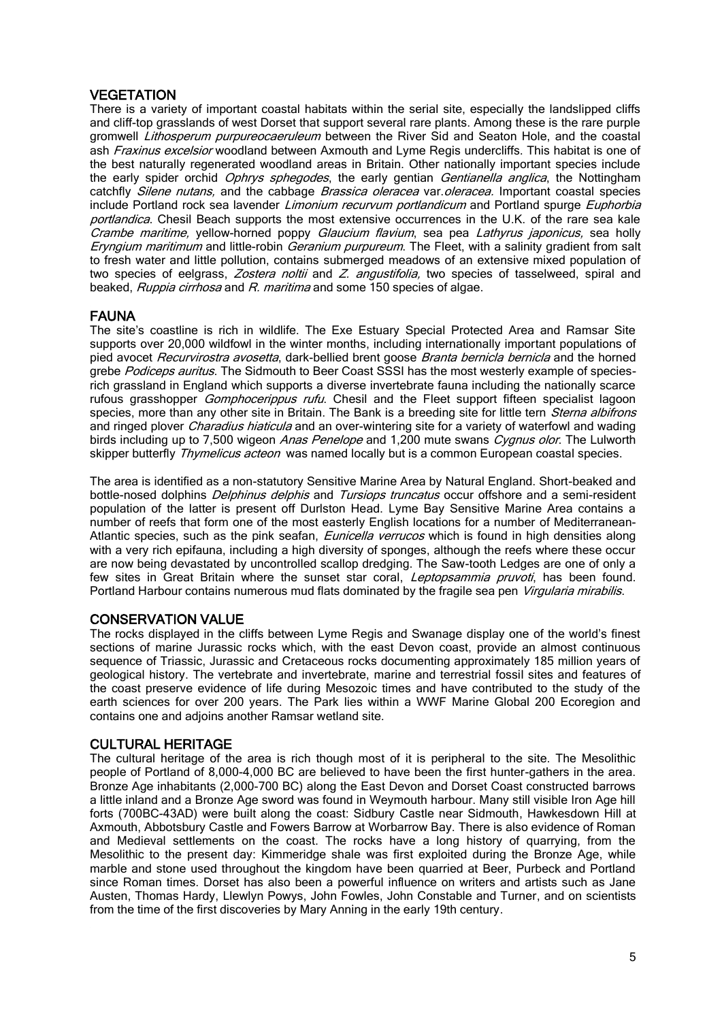# **VEGETATION**

There is a variety of important coastal habitats within the serial site, especially the landslipped cliffs and cliff-top grasslands of west Dorset that support several rare plants. Among these is the rare purple gromwell Lithosperum purpureocaeruleum between the River Sid and Seaton Hole, and the coastal ash Fraxinus excelsior woodland between Axmouth and Lyme Regis undercliffs. This habitat is one of the best naturally regenerated woodland areas in Britain. Other nationally important species include the early spider orchid *Ophrys sphegodes*, the early gentian *Gentianella anglica*, the Nottingham catchfly Silene nutans, and the cabbage Brassica oleracea var. oleracea. Important coastal species include Portland rock sea lavender Limonium recurvum portlandicum and Portland spurge Euphorbia portlandica. Chesil Beach supports the most extensive occurrences in the U.K. of the rare sea kale Crambe maritime, yellow-horned poppy Glaucium flavium, sea pea Lathyrus japonicus, sea holly Eryngium maritimum and little-robin Geranium purpureum. The Fleet, with a salinity gradient from salt to fresh water and little pollution, contains submerged meadows of an extensive mixed population of two species of eelgrass, Zostera noltii and Z. angustifolia, two species of tasselweed, spiral and beaked, *Ruppia cirrhosa* and R. maritima and some 150 species of algae.

# FAUNA

The site's coastline is rich in wildlife. The Exe Estuary Special Protected Area and Ramsar Site supports over 20,000 wildfowl in the winter months, including internationally important populations of pied avocet [Recurvirostra avosetta](http://quin.unep-wcmc.org/isdb/Taxonomy/tax-gs-search2.cfm?GenName=Recurvirostra&SpcName=avosetta), dark-bellied brent goose [Branta bernicla](http://quin.unep-wcmc.org/isdb/Taxonomy/tax-gs-search2.cfm?GenName=Branta&SpcName=bernicla) bernicla and the horned grebe [Podiceps auritus](http://quin.unep-wcmc.org/isdb/Taxonomy/tax-gs-search2.cfm?GenName=Podiceps&SpcName=auritus). The Sidmouth to Beer Coast SSSI has the most westerly example of speciesrich grassland in England which supports a diverse invertebrate fauna including the nationally scarce rufous grasshopper *[Gomphocerippus rufu](http://quin.unep-wcmc.org/isdb/Taxonomy/tax-gs-search2.cfm?GenName=Gomphocerippus&SpcName=rufu)*. Chesil and the Fleet support fifteen specialist lagoon species, more than any other site in Britain. The Bank is a breeding site for little tern *[Sterna albifrons](http://quin.unep-wcmc.org/isdb/Taxonomy/tax-gs-search2.cfm?GenName=Sterna&SpcName=albifrons)* and ringed plover *Charadius hiaticula* and an over-wintering site for a variety of waterfowl and wading birds including up to 7,500 wigeon Anas Penelope and 1,200 mute swans Cygnus olor. The Lulworth skipper butterfly [Thymelicus acteon](http://quin.unep-wcmc.org/isdb/Taxonomy/tax-gs-search2.cfm?GenName=Thymelicus&SpcName=acteon) was named locally but is a common European coastal species.

The area is identified as a non-statutory Sensitive Marine Area by Natural England. Short-beaked and bottle-nosed dolphins *Delphinus delphis* and *Tursiops truncatus* occur offshore and a semi-resident population of [the](http://quin.unep-wcmc.org/isdb/Taxonomy/tax-gs-search2.cfm?GenName=Tursiops&SpcName=truncatus) latter is present off Durlston Head. Lyme Bay Sensitive Marine Area contains a number of reefs that form one of the most easterly English locations for a number of Mediterranean-Atlantic species, such as the pink seafan, *[Eunicella verrucos](http://quin.unep-wcmc.org/isdb/Taxonomy/tax-gs-search2.cfm?GenName=Eunicella&SpcName=verrucos)* which is found in high densities along with a very rich epifauna, including a high diversity of sponges, although the reefs where these occur are now being devastated by uncontrolled scallop dredging. The Saw-tooth Ledges are one of only a few sites in Great Britain where the sunset star coral, *[Leptopsammia pruvoti](http://quin.unep-wcmc.org/isdb/Taxonomy/tax-gs-search2.cfm?GenName=Leptopsammia&SpcName=pruvoti)*, has been found. Portland Harbour contains numerous mud flats dominated by the fragile sea pen [Virgularia mirabilis](http://quin.unep-wcmc.org/isdb/Taxonomy/tax-gs-search2.cfm?GenName=Virgularia&SpcName=mirabilis).

# CONSERVATION VALUE

The rocks displayed in the cliffs between Lyme Regis and Swanage display one of the world's finest sections of marine Jurassic rocks which, with the east Devon coast, provide an almost continuous sequence of Triassic, Jurassic and Cretaceous rocks documenting approximately 185 million years of geological history. The vertebrate and invertebrate, marine and terrestrial fossil sites and features of the coast preserve evidence of life during Mesozoic times and have contributed to the study of the earth sciences for over 200 years. The Park lies within a WWF Marine Global 200 Ecoregion and contains one and adjoins another Ramsar wetland site.

# CULTURAL HERITAGE

The cultural heritage of the area is rich though most of it is peripheral to the site. The Mesolithic people of Portland of 8,000-4,000 BC are believed to have been the first hunter-gathers in the area. Bronze Age inhabitants (2,000-700 BC) along the East Devon and Dorset Coast constructed barrows a little inland and a Bronze Age sword was found in Weymouth harbour. Many still visible Iron Age hill forts (700BC-43AD) were built along the coast: Sidbury Castle near Sidmouth, Hawkesdown Hill at Axmouth, Abbotsbury Castle and Fowers Barrow at Worbarrow Bay. There is also evidence of Roman and Medieval settlements on the coast. The rocks have a long history of quarrying, from the Mesolithic to the present day: Kimmeridge shale was first exploited during the Bronze Age, while marble and stone used throughout the kingdom have been quarried at Beer, Purbeck and Portland since Roman times. Dorset has also been a powerful influence on writers and artists such as Jane Austen, Thomas Hardy, Llewlyn Powys, John Fowles, John Constable and Turner, and on scientists from the time of the first discoveries by Mary Anning in the early 19th century.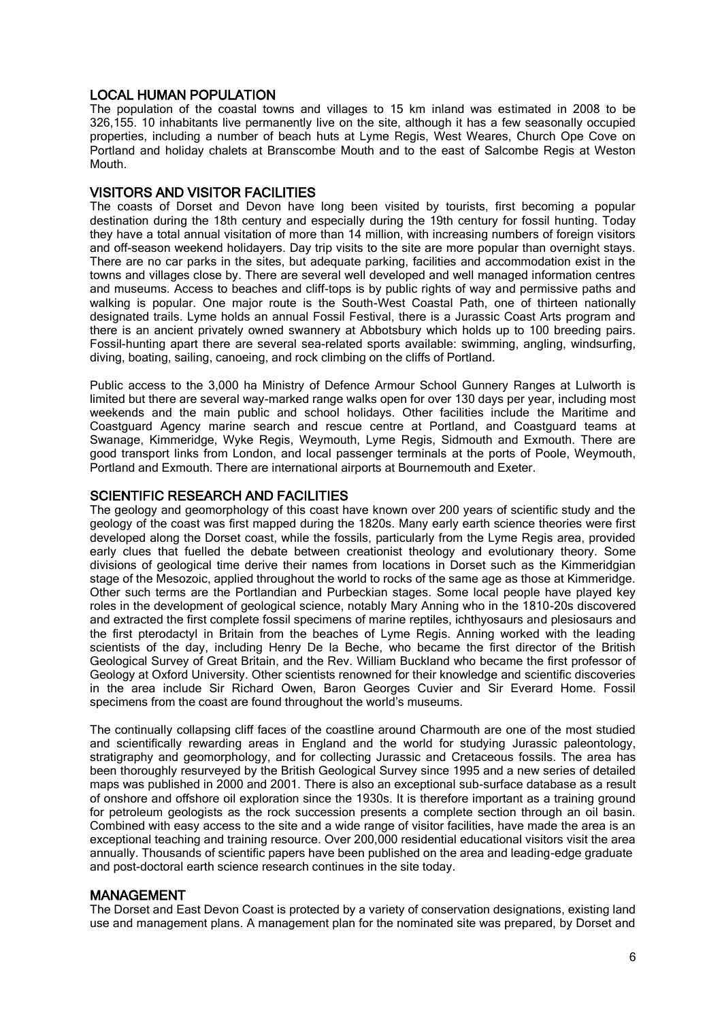#### LOCAL HUMAN POPULATION

The population of the coastal towns and villages to 15 km inland was estimated in 2008 to be 326,155. 10 inhabitants live permanently live on the site, although it has a few seasonally occupied properties, including a number of beach huts at Lyme Regis, West Weares, Church Ope Cove on Portland and holiday chalets at Branscombe Mouth and to the east of Salcombe Regis at Weston Mouth.

#### VISITORS AND VISITOR FACILITIES

The coasts of Dorset and Devon have long been visited by tourists, first becoming a popular destination during the 18th century and especially during the 19th century for fossil hunting. Today they have a total annual visitation of more than 14 million, with increasing numbers of foreign visitors and off-season weekend holidayers. Day trip visits to the site are more popular than overnight stays. There are no car parks in the sites, but adequate parking, facilities and accommodation exist in the towns and villages close by. There are several well developed and well managed information centres and museums. Access to beaches and cliff-tops is by public rights of way and permissive paths and walking is popular. One major route is the South-West Coastal Path, one of thirteen nationally designated trails. Lyme holds an annual Fossil Festival, there is a Jurassic Coast Arts program and there is an ancient privately owned swannery at Abbotsbury which holds up to 100 breeding pairs. Fossil-hunting apart there are several sea-related sports available: swimming, angling, windsurfing, diving, boating, sailing, canoeing, and rock climbing on the cliffs of Portland.

Public access to the 3,000 ha Ministry of Defence Armour School Gunnery Ranges at Lulworth is limited but there are several way-marked range walks open for over 130 days per year, including most weekends and the main public and school holidays. Other facilities include the Maritime and Coastguard Agency marine search and rescue centre at Portland, and Coastguard teams at Swanage, Kimmeridge, Wyke Regis, Weymouth, Lyme Regis, Sidmouth and Exmouth. There are good transport links from London, and local passenger terminals at the ports of Poole, Weymouth, Portland and Exmouth. There are international airports at Bournemouth and Exeter.

#### SCIENTIFIC RESEARCH AND FACILITIES

The geology and geomorphology of this coast have known over 200 years of scientific study and the geology of the coast was first mapped during the 1820s. Many early earth science theories were first developed along the Dorset coast, while the fossils, particularly from the Lyme Regis area, provided early clues that fuelled the debate between creationist theology and evolutionary theory. Some divisions of geological time derive their names from locations in Dorset such as the Kimmeridgian stage of the Mesozoic, applied throughout the world to rocks of the same age as those at Kimmeridge. Other such terms are the Portlandian and Purbeckian stages. Some local people have played key roles in the development of geological science, notably Mary Anning who in the 1810-20s discovered and extracted the first complete fossil specimens of marine reptiles, ichthyosaurs and plesiosaurs and the first pterodactyl in Britain from the beaches of Lyme Regis. Anning worked with the leading scientists of the day, including Henry De la Beche, who became the first director of the British Geological Survey of Great Britain, and the Rev. William Buckland who became the first professor of Geology at Oxford University. Other scientists renowned for their knowledge and scientific discoveries in the area include Sir Richard Owen, Baron Georges Cuvier and Sir Everard Home. Fossil specimens from the coast are found throughout the world's museums.

The continually collapsing cliff faces of the coastline around Charmouth are one of the most studied and scientifically rewarding areas in England and the world for studying [Jurassic](http://www.dictionary.com/cgi-bin/dict.pl?term=jurassic) paleontology, stratigraphy and geomorphology, and for collecting Jurassic and [Cretaceous](http://www.dictionary.com/cgi-bin/dict.pl?term=Cretaceous) fossils. The area has been thoroughly resurveyed by the British Geological Survey since 1995 and a new series of detailed maps was published in 2000 and 2001. There is also an exceptional sub-surface database as a result of onshore and offshore oil exploration since the 1930s. It is therefore important as a training ground for petroleum geologists as the rock succession presents a complete section through an oil basin. Combined with easy access to the site and a wide range of visitor facilities, have made the area is an exceptional teaching and training resource. Over 200,000 residential educational visitors visit the area annually. Thousands of scientific papers have been published on the area and leading-edge graduate and post-doctoral earth science research continues in the site today.

#### MANAGEMENT

The Dorset and East Devon Coast is protected by a variety of conservation designations, existing land use and management plans. A management plan for the nominated site was prepared, by Dorset and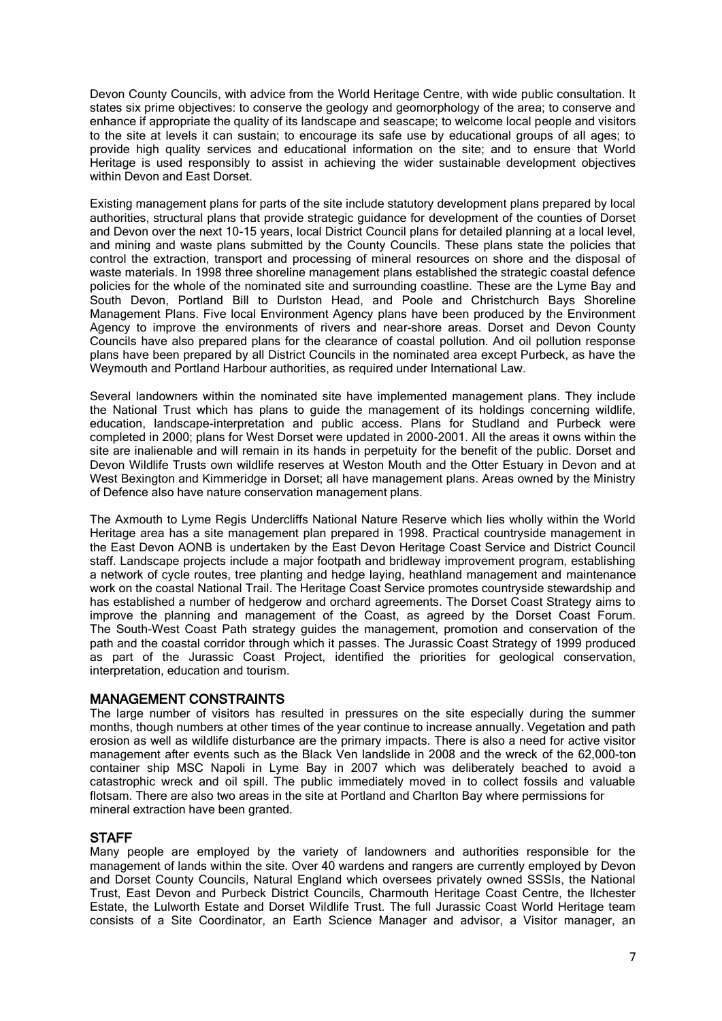Devon County Councils, with advice from the World Heritage Centre, with wide public consultation. It states six prime objectives: to conserve the geology and geomorphology of the area; to conserve and enhance if appropriate the quality of its landscape and seascape; to welcome local people and visitors to the site at levels it can sustain; to encourage its safe use by educational groups of all ages; to provide high quality services and educational information on the site; and to ensure that World Heritage is used responsibly to assist in achieving the wider sustainable development objectives within Devon and East Dorset.

Existing management plans for parts of the site include statutory development plans prepared by local authorities, structural plans that provide strategic guidance for development of the counties of Dorset and Devon over the next 10-15 years, local District Council plans for detailed planning at a local level, and mining and waste plans submitted by the County Councils. These plans state the policies that control the extraction, transport and processing of mineral resources on shore and the disposal of waste materials. In 1998 three shoreline management plans established the strategic coastal defence policies for the whole of the nominated site and surrounding coastline. These are the Lyme Bay and South Devon, Portland Bill to Durlston Head, and Poole and Christchurch Bays Shoreline Management Plans. Five local Environment Agency plans have been produced by the Environment Agency to improve the environments of rivers and near-shore areas. Dorset and Devon County Councils have also prepared plans for the clearance of coastal pollution. And oil pollution response plans have been prepared by all District Councils in the nominated area except Purbeck, as have the Weymouth and Portland Harbour authorities, as required under International Law.

Several landowners within the nominated site have implemented management plans. They include the National Trust which has plans to guide the management of its holdings concerning wildlife, education, landscape-interpretation and public access. Plans for Studland and Purbeck were completed in 2000; plans for West Dorset were updated in 2000-2001. All the areas it owns within the site are inalienable and will remain in its hands in perpetuity for the benefit of the public. Dorset and Devon Wildlife Trusts own wildlife reserves at Weston Mouth and the Otter Estuary in Devon and at West Bexington and Kimmeridge in Dorset; all have management plans. Areas owned by the Ministry of Defence also have nature conservation management plans.

The Axmouth to Lyme Regis Undercliffs National Nature Reserve which lies wholly within the World Heritage area has a site management plan prepared in 1998. Practical countryside management in the East Devon AONB is undertaken by the East Devon Heritage Coast Service and District Council staff. Landscape projects include a major footpath and bridleway improvement program, establishing a network of cycle routes, tree planting and hedge laying, heathland management and maintenance work on the coastal National Trail. The Heritage Coast Service promotes countryside stewardship and has established a number of hedgerow and orchard agreements. The Dorset Coast Strategy aims to improve the planning and management of the Coast, as agreed by the Dorset Coast Forum. The South-West Coast Path strategy guides the management, promotion and conservation of the path and the coastal corridor through which it passes. The Jurassic Coast Strategy of 1999 produced as part of the Jurassic Coast Project, identified the priorities for geological conservation, interpretation, education and tourism.

#### MANAGEMENT CONSTRAINTS

The large number of visitors has resulted in pressures on the site especially during the summer months, though numbers at other times of the year continue to increase annually. Vegetation and path erosion as well as wildlife disturbance are the primary impacts. There is also a need for active visitor management after events such as the Black Ven landslide in 2008 and the wreck of the 62,000-ton container ship MSC Napoli in Lyme Bay in 2007 which was deliberately beached to avoid a catastrophic wreck and oil spill. The public immediately moved in to collect fossils and valuable flotsam. There are also two areas in the site at Portland and Charlton Bay where permissions for mineral extraction have been granted.

# **STAFF**

Many people are employed by the variety of landowners and authorities responsible for the management of lands within the site. Over 40 wardens and rangers are currently employed by Devon and Dorset County Councils, Natural England which oversees privately owned SSSIs, the National Trust, East Devon and Purbeck District Councils, Charmouth Heritage Coast Centre, the Ilchester Estate, the Lulworth Estate and Dorset Wildlife Trust. The full Jurassic Coast World Heritage team consists of a Site Coordinator, an Earth Science Manager and advisor, a Visitor manager, an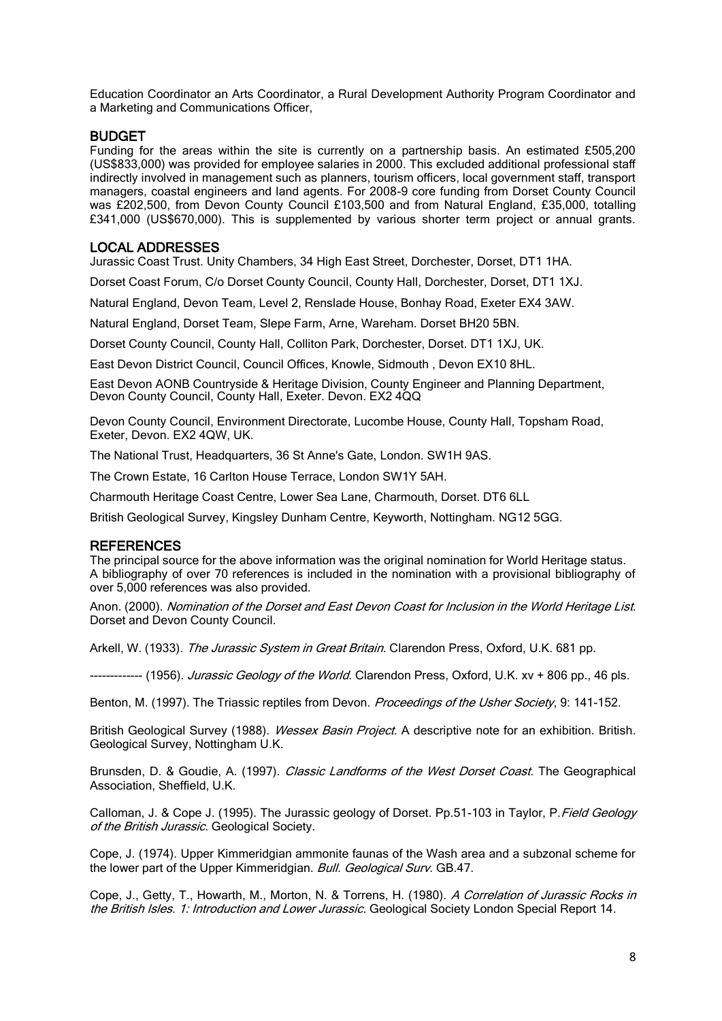Education Coordinator an Arts Coordinator, a Rural Development Authority Program Coordinator and a Marketing and Communications Officer,

#### BUDGET

Funding for the areas within the site is currently on a partnership basis. An estimated £505,200 (US\$833,000) was provided for employee salaries in 2000. This excluded additional professional staff indirectly involved in management such as planners, tourism officers, local government staff, transport managers, coastal engineers and land agents. For 2008-9 core funding from Dorset County Council was £202,500, from Devon County Council £103,500 and from Natural England, £35,000, totalling £341,000 (US\$670,000). This is supplemented by various shorter term project or annual grants.

#### LOCAL ADDRESSES

Jurassic Coast Trust. Unity Chambers, 34 High East Street, Dorchester, Dorset, DT1 1HA.

Dorset Coast Forum, C/o Dorset County Council, County Hall, Dorchester, Dorset, DT1 1XJ.

Natural England, Devon Team, Level 2, Renslade House, Bonhay Road, Exeter EX4 3AW.

Natural England, Dorset Team, Slepe Farm, Arne, Wareham. Dorset BH20 5BN.

Dorset County Council, County Hall, Colliton Park, Dorchester, Dorset. DT1 1XJ, UK.

East Devon District Council, Council Offices, Knowle, Sidmouth , Devon EX10 8HL.

East Devon AONB Countryside & Heritage Division, County Engineer and Planning Department, Devon County Council, County Hall, Exeter. Devon. EX2 4QQ

Devon County Council, Environment Directorate, Lucombe House, County Hall, Topsham Road, Exeter, Devon. EX2 4QW, UK.

The National Trust, Headquarters, 36 St Anne's Gate, London. SW1H 9AS.

The Crown Estate, 16 Carlton House Terrace, London SW1Y 5AH.

Charmouth Heritage Coast Centre, Lower Sea Lane, Charmouth, Dorset. DT6 6LL

British Geological Survey, Kingsley Dunham Centre, Keyworth, Nottingham. NG12 5GG.

#### **REFERENCES**

The principal source for the above information was the original nomination for World Heritage status. A bibliography of over 70 references is included in the nomination with a provisional bibliography of over 5,000 references was also provided.

Anon. (2000). Nomination of the Dorset and East Devon Coast for Inclusion in the World Heritage List. Dorset and Devon County Council.

Arkell, W. (1933). The Jurassic System in Great Britain. Clarendon Press, Oxford, U.K. 681 pp.

---------- (1956). *Jurassic Geology of the World*. Clarendon Press, Oxford, U.K. xv + 806 pp., 46 pls.

Benton, M. (1997). The Triassic reptiles from Devon. Proceedings of the Usher Society, 9: 141-152.

British Geological Survey (1988). Wessex Basin Project. A descriptive note for an exhibition. British. Geological Survey, Nottingham U.K.

Brunsden, D. & Goudie, A. (1997). Classic Landforms of the West Dorset Coast. The Geographical Association, Sheffield, U.K.

Calloman, J. & Cope J. (1995). The Jurassic geology of Dorset. Pp.51-103 in Taylor, P. Field Geology of the British Jurassic. Geological Society.

Cope, J. (1974). Upper Kimmeridgian ammonite faunas of the Wash area and a subzonal scheme for the lower part of the Upper Kimmeridgian. Bull. Geological Surv. GB.47.

Cope, J., Getty, T., Howarth, M., Morton, N. & Torrens, H. (1980). A Correlation of Jurassic Rocks in the British Isles. 1: Introduction and Lower Jurassic. Geological Society London Special Report 14.